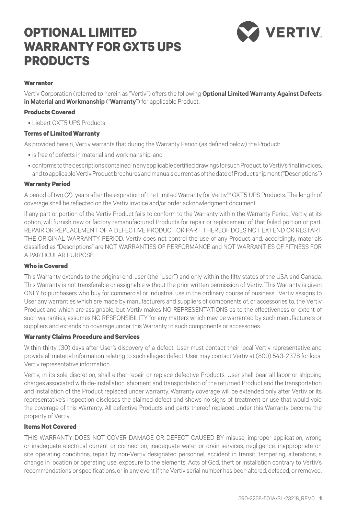# **OPTIONAL LIMITED WARRANTY FOR GXT5 UPS PRODUCTS**



# **Warrantor**

Vertiv Corporation (referred to herein as "Vertiv") offers the following **Optional Limited Warranty Against Defects in Material and Workmanship** ("**Warranty**") for applicable Product.

## **Products Covered**

• Liebert GXT5 UPS Products

### **Terms of Limited Warranty**

As provided herein, Vertiv warrants that during the Warranty Period (as defined below) the Product:

- is free of defects in material and workmanship; and
- conforms to the descriptions contained in any applicable certified drawings for such Product, to Vertiv's final invoices, and to applicable Vertiv Product brochures and manuals current as of the date of Product shipment ("Descriptions")

### **Warranty Period**

A period of two (2) years after the expiration of the Limited Warranty for Vertiv™ GXT5 UPS Products. The length of coverage shall be reflected on the Vertiv invoice and/or order acknowledgment document.

If any part or portion of the Vertiv Product fails to conform to the Warranty within the Warranty Period, Vertiv, at its option, will furnish new or factory remanufactured Products for repair or replacement of that failed portion or part. REPAIR OR REPLACEMENT OF A DEFECTIVE PRODUCT OR PART THEREOF DOES NOT EXTEND OR RESTART THE ORIGINAL WARRANTY PERIOD. Vertiv does not control the use of any Product and, accordingly, materials classified as "Descriptions" are NOT WARRANTIES OF PERFORMANCE and NOT WARRANTIES OF FITNESS FOR A PARTICULAR PURPOSE.

### **Who is Covered**

This Warranty extends to the original end-user (the "User") and only within the fifty states of the USA and Canada. This Warranty is not transferable or assignable without the prior written permission of Vertiv. This Warranty is given ONLY to purchasers who buy for commercial or industrial use in the ordinary course of business. Vertiv assigns to User any warranties which are made by manufacturers and suppliers of components of, or accessories to, the Vertiv Product and which are assignable, but Vertiv makes NO REPRESENTATIONS as to the effectiveness or extent of such warranties, assumes NO RESPONSIBILITY for any matters which may be warranted by such manufacturers or suppliers and extends no coverage under this Warranty to such components or accessories.

#### **Warranty Claims Procedure and Services**

Within thirty (30) days after User's discovery of a defect, User must contact their local Vertiv representative and provide all material information relating to such alleged defect. User may contact Vertiv at (800) 543-2378 for local Vertiv representative information.

Vertiv, in its sole discretion, shall either repair or replace defective Products. User shall bear all labor or shipping charges associated with de-installation, shipment and transportation of the returned Product and the transportation and installation of the Product replaced under warranty. Warranty coverage will be extended only after Vertiv or its representative's inspection discloses the claimed defect and shows no signs of treatment or use that would void the coverage of this Warranty. All defective Products and parts thereof replaced under this Warranty become the property of Vertiv.

## **Items Not Covered**

THIS WARRANTY DOES NOT COVER DAMAGE OR DEFECT CAUSED BY misuse, improper application, wrong or inadequate electrical current or connection, inadequate water or drain services, negligence, inappropriate on site operating conditions, repair by non-Vertiv designated personnel, accident in transit, tampering, alterations, a change in location or operating use, exposure to the elements, Acts of God, theft or installation contrary to Vertiv's recommendations or specifications, or in any event if the Vertiv serial number has been altered, defaced, or removed.